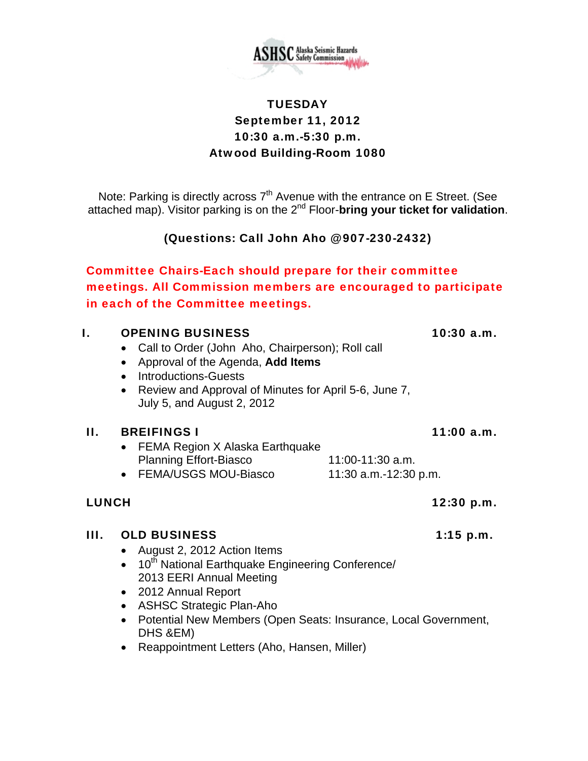

# **TUESDAY** September 11, 2012 10:30 a.m.-5:30 p.m. Atwood Building-Room 1080

Note: Parking is directly across  $7<sup>th</sup>$  Avenue with the entrance on E Street. (See attached map). Visitor parking is on the 2nd Floor-**bring your ticket for validation**.

(Questions: Call John Aho @ 907-230-2432)

Committee Chairs-Each should prepare for their committee meetings. All Commission members are encouraged to participate in each of the Committee meetings.

# I. OPENING BUSINESS 10:30 a.m.

- Call to Order (John Aho, Chairperson); Roll call
- Approval of the Agenda, **Add Items**
- Introductions-Guests
- Review and Approval of Minutes for April 5-6, June 7, July 5, and August 2, 2012

### II. BREIFINGS I 11:00 a.m.

- FEMA Region X Alaska Earthquake Planning Effort-Biasco 11:00-11:30 a.m.
- $\bullet$  FEMA/USGS MOU-Biasco 11:30 a.m.-12:30 p.m.

# LUNCH 12:30 p.m.

# III. OLD BUSINESS 1:15 p.m.

- August 2, 2012 Action Items
- $\bullet$  10<sup>th</sup> National Earthquake Engineering Conference/ 2013 EERI Annual Meeting
- 2012 Annual Report
- ASHSC Strategic Plan-Aho
- Potential New Members (Open Seats: Insurance, Local Government, DHS &EM)
- Reappointment Letters (Aho, Hansen, Miller)

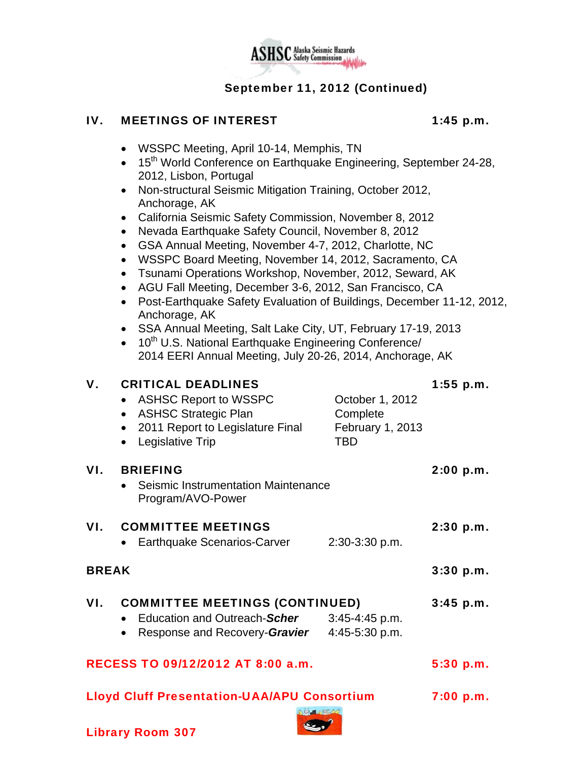

# September 11, 2012 (Continued)

#### IV. MEETINGS OF INTEREST 1:45 p.m.

- WSSPC Meeting, April 10-14, Memphis, TN
- 15<sup>th</sup> World Conference on Earthquake Engineering, September 24-28, 2012, Lisbon, Portugal
- Non-structural Seismic Mitigation Training, October 2012, Anchorage, AK
- California Seismic Safety Commission, November 8, 2012
- Nevada Earthquake Safety Council, November 8, 2012
- GSA Annual Meeting, November 4-7, 2012, Charlotte, NC
- WSSPC Board Meeting, November 14, 2012, Sacramento, CA
- Tsunami Operations Workshop, November, 2012, Seward, AK
- AGU Fall Meeting, December 3-6, 2012, San Francisco, CA
- Post-Earthquake Safety Evaluation of Buildings, December 11-12, 2012, Anchorage, AK
- SSA Annual Meeting, Salt Lake City, UT, February 17-19, 2013
- $\bullet$  10<sup>th</sup> U.S. National Earthquake Engineering Conference/ 2014 EERI Annual Meeting, July 20-26, 2014, Anchorage, AK

| V.                                                                    | <b>CRITICAL DEADLINES</b><br><b>ASHSC Report to WSSPC</b><br>$\bullet$<br><b>ASHSC Strategic Plan</b><br>2011 Report to Legislature Final | October 1, 2012<br>Complete<br>February 1, 2013 | $1:55$ p.m. |
|-----------------------------------------------------------------------|-------------------------------------------------------------------------------------------------------------------------------------------|-------------------------------------------------|-------------|
|                                                                       | Legislative Trip                                                                                                                          | <b>TBD</b>                                      |             |
| VI.                                                                   | <b>BRIEFING</b><br>Seismic Instrumentation Maintenance<br>Program/AVO-Power                                                               |                                                 | 2:00 p.m.   |
| VI.                                                                   | <b>COMMITTEE MEETINGS</b><br>Earthquake Scenarios-Carver                                                                                  | 2:30-3:30 p.m.                                  | 2:30 p.m.   |
| <b>BREAK</b>                                                          |                                                                                                                                           |                                                 | 3:30 p.m.   |
| VI.                                                                   | <b>COMMITTEE MEETINGS (CONTINUED)</b><br>Education and Outreach-Scher<br>Response and Recovery-Gravier 4:45-5:30 p.m.                     | $3:45-4:45$ p.m.                                | $3:45$ p.m. |
| RECESS TO 09/12/2012 AT 8:00 a.m.                                     |                                                                                                                                           |                                                 | 5:30 p.m.   |
| <b>Lloyd Cluff Presentation-UAA/APU Consortium</b><br><b>DIRECTOR</b> |                                                                                                                                           |                                                 | 7:00 p.m.   |

 $\epsilon$ .

Library Room 307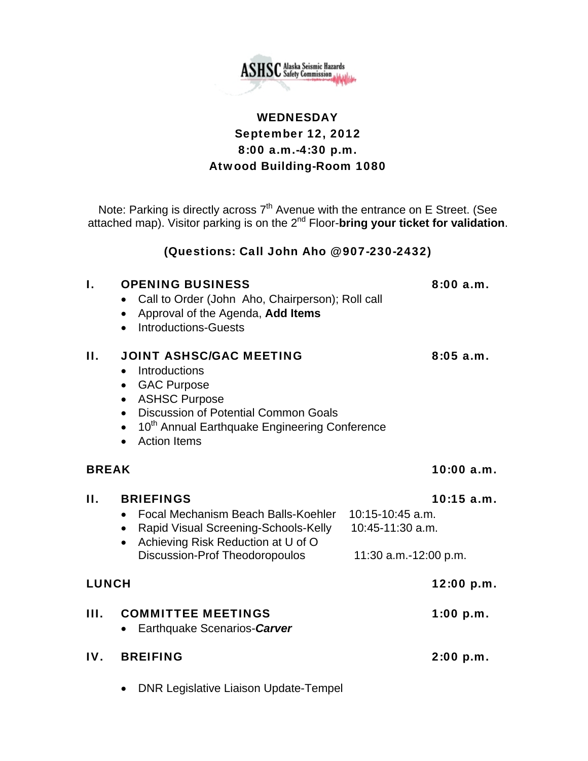

# **WEDNESDAY** September 12, 2012 8:00 a.m.-4:30 p.m. Atwood Building-Room 1080

Note: Parking is directly across  $7<sup>th</sup>$  Avenue with the entrance on E Street. (See attached map). Visitor parking is on the 2nd Floor-**bring your ticket for validation**.

### (Questions: Call John Aho @ 907-230-2432)

#### I. OPENING BUSINESS 8:00 a.m. Call to Order (John Aho, Chairperson); Roll call

- Approval of the Agenda, **Add Items**
- Introductions-Guests

# II. JOINT ASHSC/GAC MEETING 8:05 a.m.

- Introductions
- GAC Purpose
- ASHSC Purpose
- Discussion of Potential Common Goals
- 10<sup>th</sup> Annual Earthquake Engineering Conference
- Action Items

# BREAK 10:00 a.m.

# II. BRIEFINGS 10:15 a.m. Focal Mechanism Beach Balls-Koehler 10:15-10:45 a.m. • Rapid Visual Screening-Schools-Kelly 10:45-11:30 a.m. • Achieving Risk Reduction at U of O Discussion-Prof Theodoropoulos 11:30 a.m.-12:00 p.m. LUNCH 12:00 p.m. III. COMMITTEE MEETINGS 1:00 p.m. Earthquake Scenarios-*Carver* IV. BREIFING 2:00 p.m.

• DNR Legislative Liaison Update-Tempel